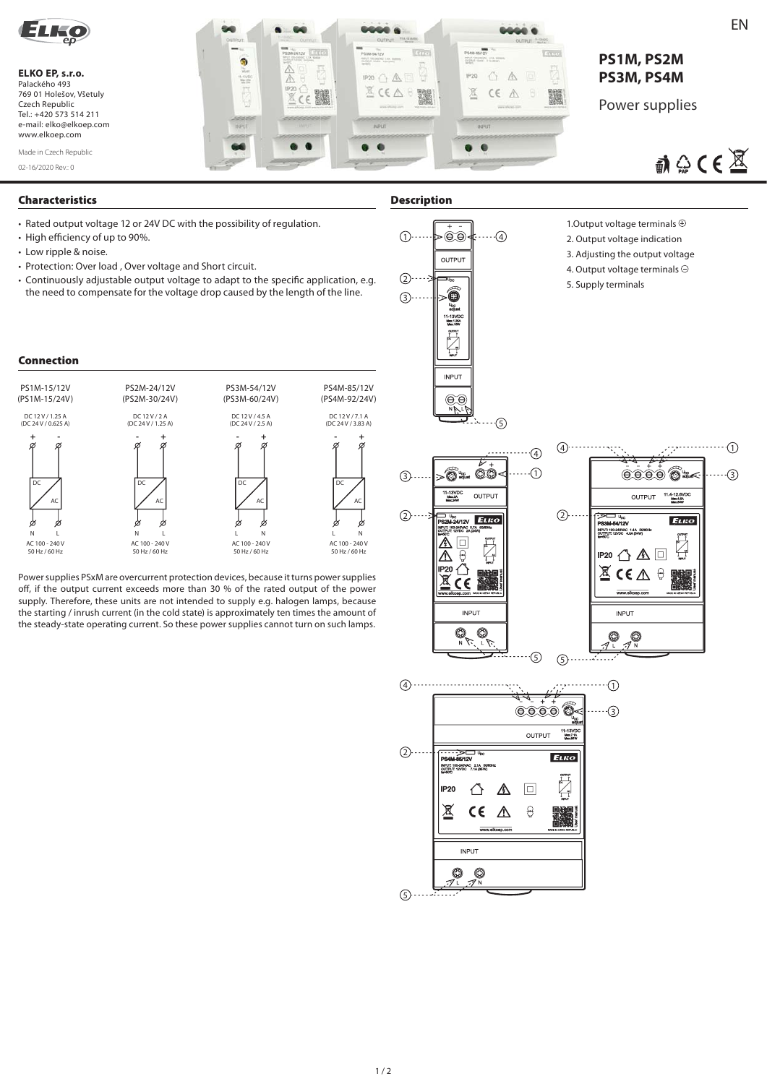

## **ELKO EP, s.r.o.**  Palackého 493 769 01 Holešov, Všetuly Czech Republic Tel.: +420 573 514 211 e-mail: elko@elkoep.com www.elkoep.com

02-16/2020 Rev.: 0 Made in Czech Republic



# **PS1M, PS2M PS3M, PS4M**

Power supplies

 $\mathbb{R} \oplus \mathsf{CE}$ 

## **Characteristics Description**

- Rated output voltage 12 or 24V DC with the possibility of regulation.
- High efficiency of up to 90%.
- Low ripple & noise.
- Protection: Over load , Over voltage and Short circuit.
- Continuously adjustable output voltage to adapt to the specific application, e.g. the need to compensate for the voltage drop caused by the length of the line.

## **Connection**



Power supplies PSxM are overcurrent protection devices, because it turns power supplies off, if the output current exceeds more than 30 % of the rated output of the power supply. Therefore, these units are not intended to supply e.g. halogen lamps, because the starting / inrush current (in the cold state) is approximately ten times the amount of the steady-state operating current. So these power supplies cannot turn on such lamps.



### 1. Output voltage terminals  $\oplus$

- 2. Output voltage indication
- 3. Adjusting the output voltage
- 4. Output voltage terminals  $\ominus$
- 5. Supply terminals



Енко

G

▓

 $\boxed{\Box}$ 

 $\Theta$ 

⚠

 $(2)$ ....

**PS4M-85/12V**<br>
INPUT: 100-240VAC 2.1A 50N<br>
OUTPUT: 12VDC 7.1A (85W)<br>
BHS0T: 12VDC 7.1A (85W)

⇧

 $C \in$  $\Delta$ 

**INPUT**  $\circledcirc$ 0

IP<sub>20</sub>

凤

 $\circledS$